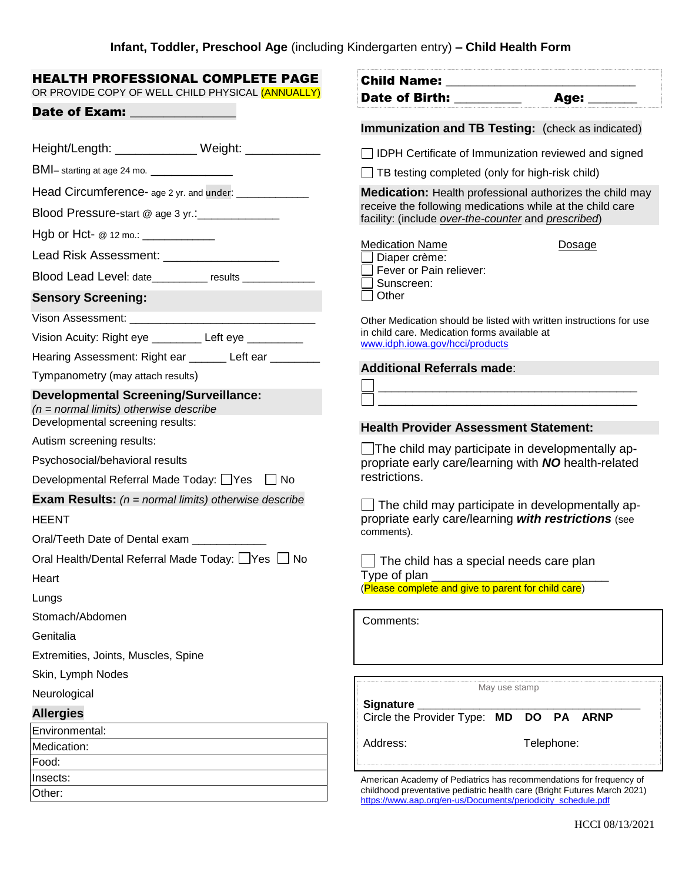| HEALTH PROFESSIONAL COMPLETE PAGE<br>OR PROVIDE COPY OF WELL CHILD PHYSICAL (ANNUALLY)                                                                                                                                        | Date of Birth: ________                                                                                                          |  |
|-------------------------------------------------------------------------------------------------------------------------------------------------------------------------------------------------------------------------------|----------------------------------------------------------------------------------------------------------------------------------|--|
| Date of Exam: The contract of the contract of the contract of the contract of the contract of the contract of the contract of the contract of the contract of the contract of the contract of the contract of the contract of | Age: ______                                                                                                                      |  |
|                                                                                                                                                                                                                               | Immunization and TB Testing: (check as indicated)                                                                                |  |
| Height/Length: _______________ Weight: ____________                                                                                                                                                                           | □ IDPH Certificate of Immunization reviewed and signed                                                                           |  |
| BMI- starting at age 24 mo. _________________                                                                                                                                                                                 | $\Box$ TB testing completed (only for high-risk child)                                                                           |  |
| Head Circumference- age 2 yr. and under: ______________                                                                                                                                                                       | <b>Medication:</b> Health professional authorizes the child may                                                                  |  |
| Blood Pressure-start @ age 3 yr.:_____________                                                                                                                                                                                | receive the following medications while at the child care<br>facility: (include over-the-counter and prescribed)                 |  |
| Hgb or Hct- $@ 12 \text{ mo.}$ : _____________                                                                                                                                                                                |                                                                                                                                  |  |
| Lead Risk Assessment: _____________________                                                                                                                                                                                   | <b>Medication Name</b><br>Dosage<br>Diaper crème:                                                                                |  |
| Blood Lead Level: date___________ results _____________                                                                                                                                                                       | Fever or Pain reliever:<br>Sunscreen:                                                                                            |  |
| <b>Sensory Screening:</b>                                                                                                                                                                                                     | Other                                                                                                                            |  |
| Vison Assessment: Vison Assessment:                                                                                                                                                                                           | Other Medication should be listed with written instructions for use                                                              |  |
| Vision Acuity: Right eye _________ Left eye _________                                                                                                                                                                         | in child care. Medication forms available at<br>www.idph.iowa.gov/hcci/products                                                  |  |
| Hearing Assessment: Right ear ______ Left ear _______                                                                                                                                                                         |                                                                                                                                  |  |
| Tympanometry (may attach results)                                                                                                                                                                                             | <b>Additional Referrals made:</b>                                                                                                |  |
| <b>Developmental Screening/Surveillance:</b><br>$(n = normal$ limits) otherwise describe<br>Developmental screening results:                                                                                                  | <u> 1989 - Johann Barn, mars and de Brasilian (b. 1989)</u>                                                                      |  |
| Autism screening results:                                                                                                                                                                                                     | <b>Health Provider Assessment Statement:</b>                                                                                     |  |
| Psychosocial/behavioral results                                                                                                                                                                                               | $\Box$ The child may participate in developmentally ap-<br>propriate early care/learning with NO health-related<br>restrictions. |  |
| Developmental Referral Made Today: □ Yes □ No                                                                                                                                                                                 |                                                                                                                                  |  |
| <b>Exam Results:</b> ( $n = normal$ limits) otherwise describe                                                                                                                                                                |                                                                                                                                  |  |
| $\Box$ The child may participate in developmentally ap-<br>propriate early care/learning with restrictions (see<br><b>HEENT</b>                                                                                               |                                                                                                                                  |  |
| Oral/Teeth Date of Dental exam                                                                                                                                                                                                | comments).                                                                                                                       |  |
| Oral Health/Dental Referral Made Today: Ves No                                                                                                                                                                                | $\Box$ The child has a special needs care plan                                                                                   |  |
| Heart                                                                                                                                                                                                                         | Type of plan                                                                                                                     |  |
| Lungs                                                                                                                                                                                                                         | (Please complete and give to parent for child care)                                                                              |  |
| Stomach/Abdomen                                                                                                                                                                                                               | Comments:                                                                                                                        |  |
| Genitalia                                                                                                                                                                                                                     |                                                                                                                                  |  |
| Extremities, Joints, Muscles, Spine                                                                                                                                                                                           |                                                                                                                                  |  |
| Skin, Lymph Nodes                                                                                                                                                                                                             |                                                                                                                                  |  |
| Neurological                                                                                                                                                                                                                  | May use stamp                                                                                                                    |  |
| <b>Allergies</b>                                                                                                                                                                                                              | Signature<br>Circle the Provider Type: MD<br><b>DO</b><br><b>PA</b><br><b>ARNP</b>                                               |  |
| Environmental:                                                                                                                                                                                                                |                                                                                                                                  |  |
| Medication:                                                                                                                                                                                                                   | Address:<br>Telephone:                                                                                                           |  |
| Food:<br>Insects:                                                                                                                                                                                                             | American Academy of Pediatrics has recommendations for frequency of                                                              |  |
| Other:                                                                                                                                                                                                                        | childhood preventative pediatric health care (Bright Futures March 2021)                                                         |  |